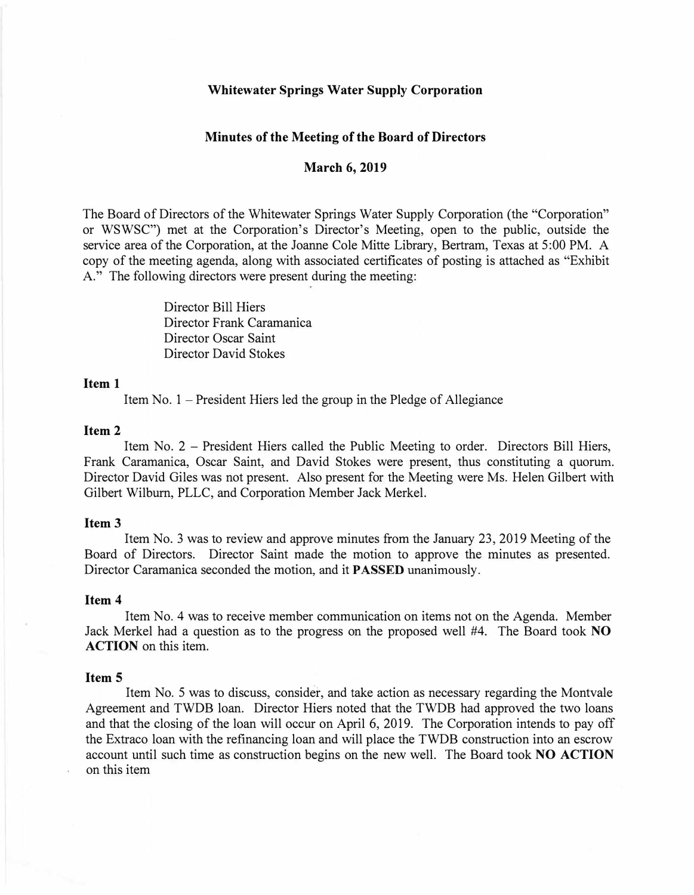### **Whitewater Springs Water Supply Corporation**

### **Minutes of the Meeting of the Board of Directors**

# **March 6, 2019**

The Board of Directors of the Whitewater Springs Water Supply Corporation (the "Corporation" or WSWSC") met at the Corporation's Director's Meeting, open to the public, outside the service area of the Corporation, at the Joanne Cole Mitte Library, Bertram, Texas at 5:00 PM. A copy of the meeting agenda, along with associated certificates of posting is attached as "Exhibit A." The following directors were present during the meeting:

> Director Bill Hiers Director Frank Caramanica Director Oscar Saint Director David Stokes

### **Item 1**

Item No.  $1$  – President Hiers led the group in the Pledge of Allegiance

#### **Item2**

Item No. 2 - President Hiers called the Public Meeting to order. Directors Bill Hiers, Frank Caramanica, Oscar Saint, and David Stokes were present, thus constituting a quorum. Director David Giles was not present. Also present for the Meeting were Ms. Helen Gilbert with Gilbert Wilburn, PLLC, and Corporation Member Jack Merkel.

#### **Item3**

Item No. 3 was to review and approve minutes from the January 23, 2019 Meeting of the Board of Directors. Director Saint made the motion to approve the minutes as presented. Director Caramanica seconded the motion, and it **PASSED** unanimously.

### **Item 4**

Item No. 4 was to receive member communication on items not on the Agenda. Member Jack Merkel had a question as to the progress on the proposed well #4. The Board took **NO ACTION** on this item.

### **Item 5**

Item No. 5 was to discuss, consider, and take action as necessary regarding the Montvale Agreement and TWDB loan. Director Hiers noted that the TWDB had approved the two loans and that the closing of the loan will occur on April 6, 2019. The Corporation intends to pay off the Extraco loan with the refinancing loan and will place the TWDB construction into an escrow account until such time as construction begins on the new well. The Board took **NO ACTION**  on this item